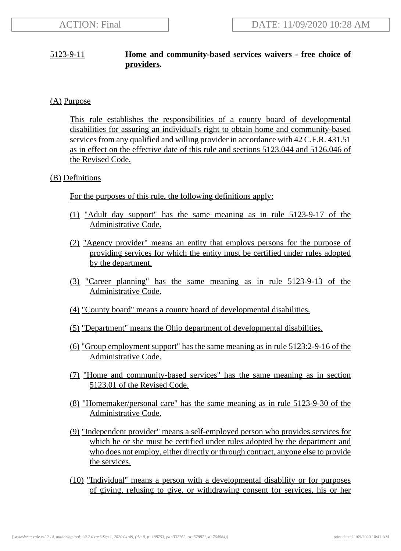## 5123-9-11 **Home and community-based services waivers - free choice of providers.**

## (A) Purpose

This rule establishes the responsibilities of a county board of developmental disabilities for assuring an individual's right to obtain home and community-based services from any qualified and willing provider in accordance with 42 C.F.R. 431.51 as in effect on the effective date of this rule and sections 5123.044 and 5126.046 of the Revised Code.

## (B) Definitions

For the purposes of this rule, the following definitions apply:

- (1) "Adult day support" has the same meaning as in rule 5123-9-17 of the Administrative Code.
- (2) "Agency provider" means an entity that employs persons for the purpose of providing services for which the entity must be certified under rules adopted by the department.
- (3) "Career planning" has the same meaning as in rule 5123-9-13 of the Administrative Code.
- (4) "County board" means a county board of developmental disabilities.
- (5) "Department" means the Ohio department of developmental disabilities.
- (6) "Group employment support" has the same meaning as in rule 5123:2-9-16 of the Administrative Code.
- (7) "Home and community-based services" has the same meaning as in section 5123.01 of the Revised Code.
- (8) "Homemaker/personal care" has the same meaning as in rule 5123-9-30 of the Administrative Code.
- (9) "Independent provider" means a self-employed person who provides services for which he or she must be certified under rules adopted by the department and who does not employ, either directly or through contract, anyone else to provide the services.
- (10) "Individual" means a person with a developmental disability or for purposes of giving, refusing to give, or withdrawing consent for services, his or her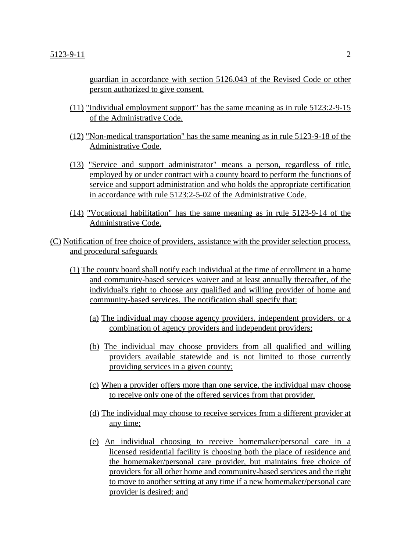guardian in accordance with section 5126.043 of the Revised Code or other person authorized to give consent.

- (11) "Individual employment support" has the same meaning as in rule 5123:2-9-15 of the Administrative Code.
- (12) "Non-medical transportation" has the same meaning as in rule 5123-9-18 of the Administrative Code.
- (13) "Service and support administrator" means a person, regardless of title, employed by or under contract with a county board to perform the functions of service and support administration and who holds the appropriate certification in accordance with rule 5123:2-5-02 of the Administrative Code.
- (14) "Vocational habilitation" has the same meaning as in rule 5123-9-14 of the Administrative Code.
- (C) Notification of free choice of providers, assistance with the provider selection process, and procedural safeguards
	- (1) The county board shall notify each individual at the time of enrollment in a home and community-based services waiver and at least annually thereafter, of the individual's right to choose any qualified and willing provider of home and community-based services. The notification shall specify that:
		- (a) The individual may choose agency providers, independent providers, or a combination of agency providers and independent providers;
		- (b) The individual may choose providers from all qualified and willing providers available statewide and is not limited to those currently providing services in a given county;
		- (c) When a provider offers more than one service, the individual may choose to receive only one of the offered services from that provider.
		- (d) The individual may choose to receive services from a different provider at any time;
		- (e) An individual choosing to receive homemaker/personal care in a licensed residential facility is choosing both the place of residence and the homemaker/personal care provider, but maintains free choice of providers for all other home and community-based services and the right to move to another setting at any time if a new homemaker/personal care provider is desired; and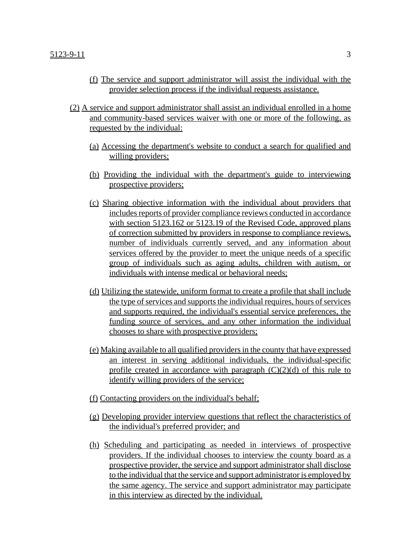- (f) The service and support administrator will assist the individual with the provider selection process if the individual requests assistance.
- (2) A service and support administrator shall assist an individual enrolled in a home and community-based services waiver with one or more of the following, as requested by the individual:
	- (a) Accessing the department's website to conduct a search for qualified and willing providers;
	- (b) Providing the individual with the department's guide to interviewing prospective providers;
	- (c) Sharing objective information with the individual about providers that includes reports of provider compliance reviews conducted in accordance with section 5123.162 or 5123.19 of the Revised Code, approved plans of correction submitted by providers in response to compliance reviews, number of individuals currently served, and any information about services offered by the provider to meet the unique needs of a specific group of individuals such as aging adults, children with autism, or individuals with intense medical or behavioral needs;
	- (d) Utilizing the statewide, uniform format to create a profile that shall include the type of services and supports the individual requires, hours of services and supports required, the individual's essential service preferences, the funding source of services, and any other information the individual chooses to share with prospective providers;
	- (e) Making available to all qualified providers in the county that have expressed an interest in serving additional individuals, the individual-specific profile created in accordance with paragraph  $(C)(2)(d)$  of this rule to identify willing providers of the service;
	- (f) Contacting providers on the individual's behalf;
	- (g) Developing provider interview questions that reflect the characteristics of the individual's preferred provider; and
	- (h) Scheduling and participating as needed in interviews of prospective providers. If the individual chooses to interview the county board as a prospective provider, the service and support administrator shall disclose to the individual that the service and support administrator is employed by the same agency. The service and support administrator may participate in this interview as directed by the individual.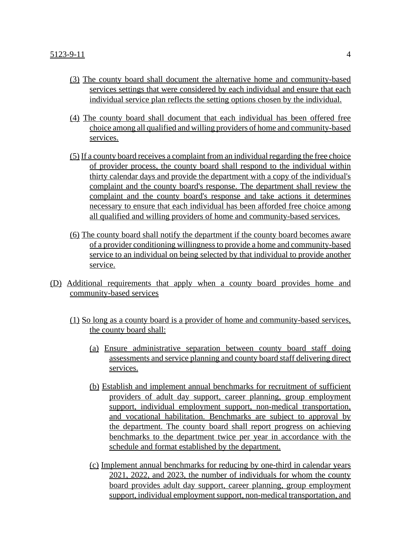- (3) The county board shall document the alternative home and community-based services settings that were considered by each individual and ensure that each individual service plan reflects the setting options chosen by the individual.
- (4) The county board shall document that each individual has been offered free choice among all qualified and willing providers of home and community-based services.
- (5) If a county board receives a complaint from an individual regarding the free choice of provider process, the county board shall respond to the individual within thirty calendar days and provide the department with a copy of the individual's complaint and the county board's response. The department shall review the complaint and the county board's response and take actions it determines necessary to ensure that each individual has been afforded free choice among all qualified and willing providers of home and community-based services.
- (6) The county board shall notify the department if the county board becomes aware of a provider conditioning willingness to provide a home and community-based service to an individual on being selected by that individual to provide another service.
- (D) Additional requirements that apply when a county board provides home and community-based services
	- (1) So long as a county board is a provider of home and community-based services, the county board shall:
		- (a) Ensure administrative separation between county board staff doing assessments and service planning and county board staff delivering direct services.
		- (b) Establish and implement annual benchmarks for recruitment of sufficient providers of adult day support, career planning, group employment support, individual employment support, non-medical transportation, and vocational habilitation. Benchmarks are subject to approval by the department. The county board shall report progress on achieving benchmarks to the department twice per year in accordance with the schedule and format established by the department.
		- (c) Implement annual benchmarks for reducing by one-third in calendar years 2021, 2022, and 2023, the number of individuals for whom the county board provides adult day support, career planning, group employment support, individual employment support, non-medical transportation, and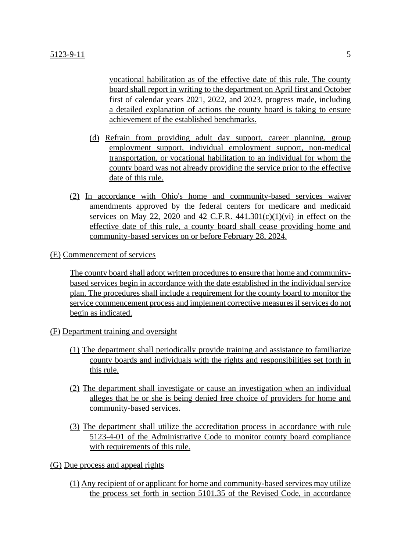vocational habilitation as of the effective date of this rule. The county board shall report in writing to the department on April first and October first of calendar years 2021, 2022, and 2023, progress made, including a detailed explanation of actions the county board is taking to ensure achievement of the established benchmarks.

- (d) Refrain from providing adult day support, career planning, group employment support, individual employment support, non-medical transportation, or vocational habilitation to an individual for whom the county board was not already providing the service prior to the effective date of this rule.
- (2) In accordance with Ohio's home and community-based services waiver amendments approved by the federal centers for medicare and medicaid services on May 22, 2020 and 42 C.F.R.  $441.301(c)(1)(vi)$  in effect on the effective date of this rule, a county board shall cease providing home and community-based services on or before February 28, 2024.
- (E) Commencement of services

The county board shall adopt written procedures to ensure that home and communitybased services begin in accordance with the date established in the individual service plan. The procedures shall include a requirement for the county board to monitor the service commencement process and implement corrective measures if services do not begin as indicated.

- (F) Department training and oversight
	- (1) The department shall periodically provide training and assistance to familiarize county boards and individuals with the rights and responsibilities set forth in this rule.
	- (2) The department shall investigate or cause an investigation when an individual alleges that he or she is being denied free choice of providers for home and community-based services.
	- (3) The department shall utilize the accreditation process in accordance with rule 5123-4-01 of the Administrative Code to monitor county board compliance with requirements of this rule.

(G) Due process and appeal rights

(1) Any recipient of or applicant for home and community-based services may utilize the process set forth in section 5101.35 of the Revised Code, in accordance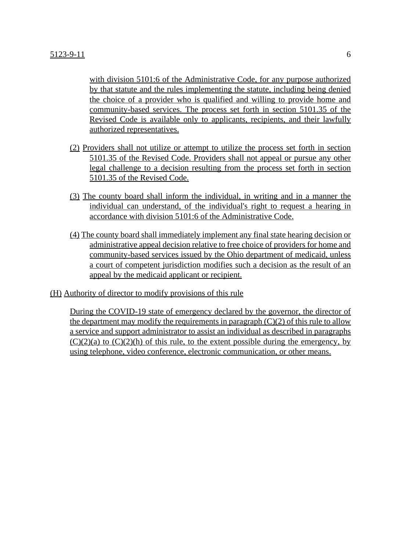with division 5101:6 of the Administrative Code, for any purpose authorized by that statute and the rules implementing the statute, including being denied the choice of a provider who is qualified and willing to provide home and community-based services. The process set forth in section 5101.35 of the Revised Code is available only to applicants, recipients, and their lawfully authorized representatives.

- (2) Providers shall not utilize or attempt to utilize the process set forth in section 5101.35 of the Revised Code. Providers shall not appeal or pursue any other legal challenge to a decision resulting from the process set forth in section 5101.35 of the Revised Code.
- (3) The county board shall inform the individual, in writing and in a manner the individual can understand, of the individual's right to request a hearing in accordance with division 5101:6 of the Administrative Code.
- (4) The county board shall immediately implement any final state hearing decision or administrative appeal decision relative to free choice of providers for home and community-based services issued by the Ohio department of medicaid, unless a court of competent jurisdiction modifies such a decision as the result of an appeal by the medicaid applicant or recipient.
- (H) Authority of director to modify provisions of this rule

During the COVID-19 state of emergency declared by the governor, the director of the department may modify the requirements in paragraph  $(C)(2)$  of this rule to allow a service and support administrator to assist an individual as described in paragraphs  $(C)(2)(a)$  to  $(C)(2)(h)$  of this rule, to the extent possible during the emergency, by using telephone, video conference, electronic communication, or other means.